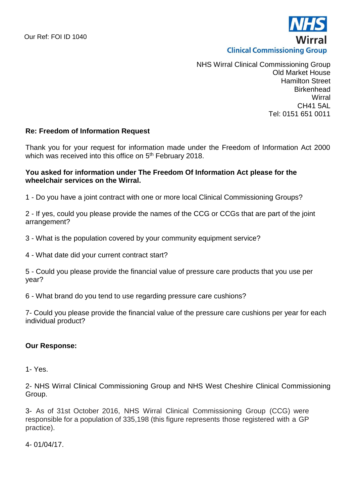

NHS Wirral Clinical Commissioning Group Old Market House Hamilton Street Birkenhead **Wirral** CH41 5AL Tel: 0151 651 0011

# **Re: Freedom of Information Request**

Thank you for your request for information made under the Freedom of Information Act 2000 which was received into this office on 5<sup>th</sup> February 2018.

## **You asked for information under The Freedom Of Information Act please for the wheelchair services on the Wirral.**

1 - Do you have a joint contract with one or more local Clinical Commissioning Groups?

2 - If yes, could you please provide the names of the CCG or CCGs that are part of the joint arrangement?

3 - What is the population covered by your community equipment service?

4 - What date did your current contract start?

5 - Could you please provide the financial value of pressure care products that you use per year?

6 - What brand do you tend to use regarding pressure care cushions?

7- Could you please provide the financial value of the pressure care cushions per year for each individual product?

## **Our Response:**

1- Yes.

2- NHS Wirral Clinical Commissioning Group and NHS West Cheshire Clinical Commissioning Group.

3- As of 31st October 2016, NHS Wirral Clinical Commissioning Group (CCG) were responsible for a population of 335,198 (this figure represents those registered with a GP practice).

4- 01/04/17.